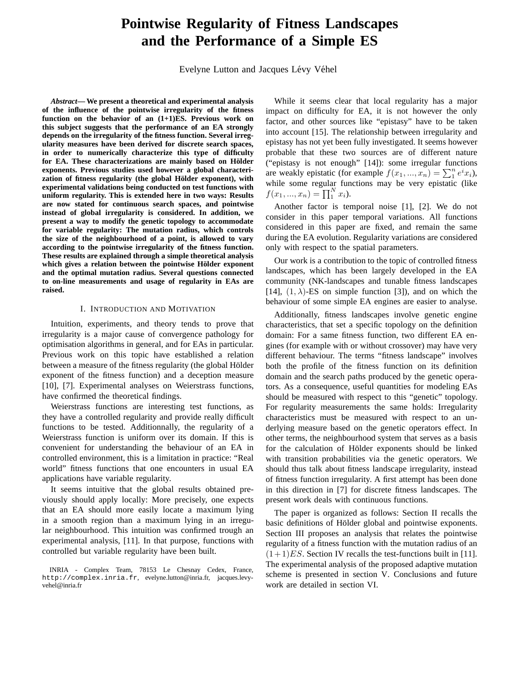# **Pointwise Regularity of Fitness Landscapes and the Performance of a Simple ES**

Evelyne Lutton and Jacques Lévy Véhel

*Abstract***— We present a theoretical and experimental analysis of the influence of the pointwise irregularity of the fitness function on the behavior of an (1+1)ES. Previous work on this subject suggests that the performance of an EA strongly depends on the irregularity of the fitness function. Several irregularity measures have been derived for discrete search spaces, in order to numerically characterize this type of difficulty** for EA. These characterizations are mainly based on Hölder **exponents. Previous studies used however a global characteri**zation of fitness regularity (the global Hölder exponent), with **experimental validations being conducted on test functions with uniform regularity. This is extended here in two ways: Results are now stated for continuous search spaces, and pointwise instead of global irregularity is considered. In addition, we present a way to modify the genetic topology to accommodate for variable regularity: The mutation radius, which controls the size of the neighbourhood of a point, is allowed to vary according to the pointwise irregularity of the fitness function. These results are explained through a simple theoretical analysis which gives a relation between the pointwise Holder exponent ¨ and the optimal mutation radius. Several questions connected to on-line measurements and usage of regularity in EAs are raised.**

#### I. INTRODUCTION AND MOTIVATION

Intuition, experiments, and theory tends to prove that irregularity is a major cause of convergence pathology for optimisation algorithms in general, and for EAs in particular. Previous work on this topic have established a relation between a measure of the fitness regularity (the global Hölder exponent of the fitness function) and a deception measure [10], [7]. Experimental analyses on Weierstrass functions, have confirmed the theoretical findings.

Weierstrass functions are interesting test functions, as they have a controlled regularity and provide really difficult functions to be tested. Additionnally, the regularity of a Weierstrass function is uniform over its domain. If this is convenient for understanding the behaviour of an EA in controlled environment, this is a limitation in practice: "Real world" fitness functions that one encounters in usual EA applications have variable regularity.

It seems intuitive that the global results obtained previously should apply locally: More precisely, one expects that an EA should more easily locate a maximum lying in a smooth region than a maximum lying in an irregular neighbourhood. This intuition was confirmed trough an experimental analysis, [11]. In that purpose, functions with controlled but variable regularity have been built.

While it seems clear that local regularity has a major impact on difficulty for EA, it is not however the only factor, and other sources like "epistasy" have to be taken into account [15]. The relationship between irregularity and epistasy has not yet been fully investigated. It seems however probable that these two sources are of different nature ("epistasy is not enough" [14]): some irregular functions are weakly epistatic (for example  $f(x_1, ..., x_n) = \sum_1^n e^i x_i$ ), while some regular functions may be very epistatic (like  $f(x_1, ..., x_n) = \prod_1^N x_i$ .

Another factor is temporal noise [1], [2]. We do not consider in this paper temporal variations. All functions considered in this paper are fixed, and remain the same during the EA evolution. Regularity variations are considered only with respect to the spatial parameters.

Our work is a contribution to the topic of controlled fitness landscapes, which has been largely developed in the EA community (NK-landscapes and tunable fitness landscapes [14],  $(1, \lambda)$ -ES on simple function [3]), and on which the behaviour of some simple EA engines are easier to analyse.

Additionally, fitness landscapes involve genetic engine characteristics, that set a specific topology on the definition domain: For a same fitness function, two different EA engines (for example with or without crossover) may have very different behaviour. The terms "fitness landscape" involves both the profile of the fitness function on its definition domain and the search paths produced by the genetic operators. As a consequence, useful quantities for modeling EAs should be measured with respect to this "genetic" topology. For regularity measurements the same holds: Irregularity characteristics must be measured with respect to an underlying measure based on the genetic operators effect. In other terms, the neighbourhood system that serves as a basis for the calculation of Hölder exponents should be linked with transition probabilities via the genetic operators. We should thus talk about fitness landscape irregularity, instead of fitness function irregularity. A first attempt has been done in this direction in [7] for discrete fitness landscapes. The present work deals with continuous functions.

The paper is organized as follows: Section II recalls the basic definitions of Hölder global and pointwise exponents. Section III proposes an analysis that relates the pointwise regularity of a fitness function with the mutation radius of an  $(1+1)ES$ . Section IV recalls the test-functions built in [11]. The experimental analysis of the proposed adaptive mutation scheme is presented in section V. Conclusions and future work are detailed in section VI.

INRIA - Complex Team, 78153 Le Chesnay Cedex, France, http://complex.inria.fr, evelyne.lutton@inria.fr, jacques.levyvehel@inria.fr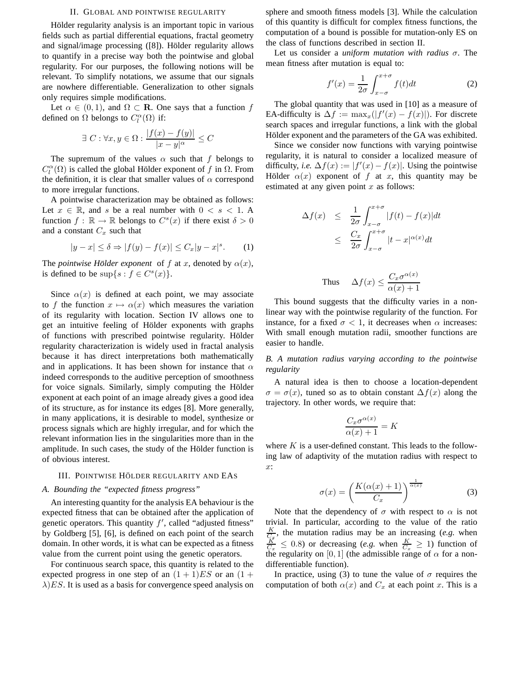#### II. GLOBAL AND POINTWISE REGULARITY

Hölder regularity analysis is an important topic in various fields such as partial differential equations, fractal geometry and signal/image processing  $([8])$ . Hölder regularity allows to quantify in a precise way both the pointwise and global regularity. For our purposes, the following notions will be relevant. To simplify notations, we assume that our signals are nowhere differentiable. Generalization to other signals only requires simple modifications.

Let  $\alpha \in (0,1)$ , and  $\Omega \subset \mathbf{R}$ . One says that a function f defined on  $\Omega$  belongs to  $C_l^{\alpha}(\Omega)$  if:

$$
\exists C : \forall x, y \in \Omega : \frac{|f(x) - f(y)|}{|x - y|^{\alpha}} \le C
$$

The supremum of the values  $\alpha$  such that f belongs to  $C_l^{\alpha}(\Omega)$  is called the global Hölder exponent of f in  $\Omega$ . From the definition, it is clear that smaller values of  $\alpha$  correspond to more irregular functions.

A pointwise characterization may be obtained as follows: Let  $x \in \mathbb{R}$ , and s be a real number with  $0 < s < 1$ . A function  $f : \mathbb{R} \to \mathbb{R}$  belongs to  $C<sup>s</sup>(x)$  if there exist  $\delta > 0$ and a constant  $C_x$  such that

$$
|y - x| \le \delta \Rightarrow |f(y) - f(x)| \le C_x |y - x|^s. \tag{1}
$$

The *pointwise Hölder exponent* of f at x, denoted by  $\alpha(x)$ , is defined to be  $\sup\{s : f \in C^s(x)\}.$ 

Since  $\alpha(x)$  is defined at each point, we may associate to f the function  $x \mapsto \alpha(x)$  which measures the variation of its regularity with location. Section IV allows one to get an intuitive feeling of Hölder exponents with graphs of functions with prescribed pointwise regularity. Hölder regularity characterization is widely used in fractal analysis because it has direct interpretations both mathematically and in applications. It has been shown for instance that  $\alpha$ indeed corresponds to the auditive perception of smoothness for voice signals. Similarly, simply computing the Hölder exponent at each point of an image already gives a good idea of its structure, as for instance its edges [8]. More generally, in many applications, it is desirable to model, synthesize or process signals which are highly irregular, and for which the relevant information lies in the singularities more than in the amplitude. In such cases, the study of the Hölder function is of obvious interest.

### III. POINTWISE HÖLDER REGULARITY AND EAS

## *A. Bounding the "expected fitness progress"*

An interesting quantity for the analysis EA behaviour is the expected fitness that can be obtained after the application of genetic operators. This quantity  $f'$ , called "adjusted fitness" by Goldberg [5], [6], is defined on each point of the search domain. In other words, it is what can be expected as a fitness value from the current point using the genetic operators.

For continuous search space, this quantity is related to the expected progress in one step of an  $(1 + 1)ES$  or an  $(1 +$  $\lambda$ ) ES. It is used as a basis for convergence speed analysis on

sphere and smooth fitness models [3]. While the calculation of this quantity is difficult for complex fitness functions, the computation of a bound is possible for mutation-only ES on the class of functions described in section II.

Let us consider a *uniform mutation with radius* σ. The mean fitness after mutation is equal to:

$$
f'(x) = \frac{1}{2\sigma} \int_{x-\sigma}^{x+\sigma} f(t)dt
$$
 (2)

The global quantity that was used in [10] as a measure of EA-difficulty is  $\Delta f := \max_x(|f'(x) - f(x)|)$ . For discrete search spaces and irregular functions, a link with the global Hölder exponent and the parameters of the GA was exhibited.

Since we consider now functions with varying pointwise regularity, it is natural to consider a localized measure of difficulty, *i.e.*  $\Delta f(x) := |f'(x) - f(x)|$ . Using the pointwise Hölder  $\alpha(x)$  exponent of f at x, this quantity may be estimated at any given point  $x$  as follows:

$$
\Delta f(x) \leq \frac{1}{2\sigma} \int_{x-\sigma}^{x+\sigma} |f(t) - f(x)| dt
$$
  

$$
\leq \frac{C_x}{2\sigma} \int_{x-\sigma}^{x+\sigma} |t - x|^{\alpha(x)} dt
$$

Thus 
$$
\Delta f(x) \le \frac{C_x \sigma^{\alpha(x)}}{\alpha(x) + 1}
$$

This bound suggests that the difficulty varies in a nonlinear way with the pointwise regularity of the function. For instance, for a fixed  $\sigma$  < 1, it decreases when  $\alpha$  increases: With small enough mutation radii, smoother functions are easier to handle.

*B. A mutation radius varying according to the pointwise regularity*

A natural idea is then to choose a location-dependent  $\sigma = \sigma(x)$ , tuned so as to obtain constant  $\Delta f(x)$  along the trajectory. In other words, we require that:

$$
\frac{C_x \sigma^{\alpha(x)}}{\alpha(x) + 1} = K
$$

where  $K$  is a user-defined constant. This leads to the following law of adaptivity of the mutation radius with respect to  $x$ :

$$
\sigma(x) = \left(\frac{K(\alpha(x) + 1)}{C_x}\right)^{\frac{1}{\alpha(x)}}\tag{3}
$$

Note that the dependency of  $\sigma$  with respect to  $\alpha$  is not trivial. In particular, according to the value of the ratio  $\frac{K}{C_x}$ , the mutation radius may be an increasing (*e.g.* when  $\frac{K}{C_x} \leq 0.8$ ) or decreasing (*e.g.* when  $\frac{K}{C_x} \geq 1$ ) function of the regularity on [0, 1] (the admissible range of  $\alpha$  for a nondifferentiable function).

In practice, using (3) to tune the value of  $\sigma$  requires the computation of both  $\alpha(x)$  and  $C_x$  at each point x. This is a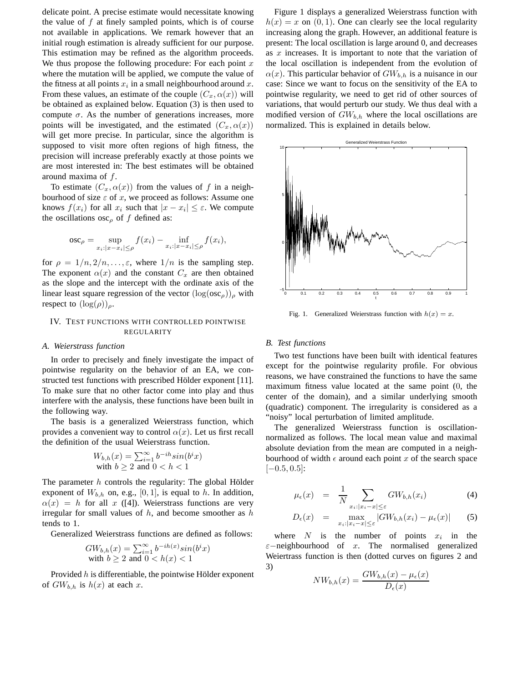delicate point. A precise estimate would necessitate knowing the value of  $f$  at finely sampled points, which is of course not available in applications. We remark however that an initial rough estimation is already sufficient for our purpose. This estimation may be refined as the algorithm proceeds. We thus propose the following procedure: For each point  $x$ where the mutation will be applied, we compute the value of the fitness at all points  $x_i$  in a small neighbourhood around x. From these values, an estimate of the couple  $(C_x, \alpha(x))$  will be obtained as explained below. Equation (3) is then used to compute  $\sigma$ . As the number of generations increases, more points will be investigated, and the estimated  $(C_x, \alpha(x))$ will get more precise. In particular, since the algorithm is supposed to visit more often regions of high fitness, the precision will increase preferably exactly at those points we are most interested in: The best estimates will be obtained around maxima of  $f$ .

To estimate  $(C_x, \alpha(x))$  from the values of f in a neighbourhood of size  $\varepsilon$  of x, we proceed as follows: Assume one knows  $f(x_i)$  for all  $x_i$  such that  $|x - x_i| \le \varepsilon$ . We compute the oscillations  $\csc_{\rho}$  of f defined as:

$$
\operatorname{osc}_{\rho} = \sup_{x_i : |x - x_i| \le \rho} f(x_i) - \inf_{x_i : |x - x_i| \le \rho} f(x_i),
$$

for  $\rho = 1/n, 2/n, \ldots, \varepsilon$ , where  $1/n$  is the sampling step. The exponent  $\alpha(x)$  and the constant  $C_x$  are then obtained as the slope and the intercept with the ordinate axis of the linear least square regression of the vector  $(\log(\text{osc}_{\rho}))_{\rho}$  with respect to  $(\log(\rho))_{\rho}$ .

# IV. TEST FUNCTIONS WITH CONTROLLED POINTWISE REGULARITY

#### *A. Weierstrass function*

In order to precisely and finely investigate the impact of pointwise regularity on the behavior of an EA, we constructed test functions with prescribed Hölder exponent [11]. To make sure that no other factor come into play and thus interfere with the analysis, these functions have been built in the following way.

The basis is a generalized Weierstrass function, which provides a convenient way to control  $\alpha(x)$ . Let us first recall the definition of the usual Weierstrass function.

$$
W_{b,h}(x) = \sum_{i=1}^{\infty} b^{-ih} \sin(b^i x)
$$
  
with  $b \ge 2$  and  $0 < h < 1$ 

The parameter  $h$  controls the regularity: The global Hölder exponent of  $W_{b,h}$  on, e.g., [0, 1], is equal to h. In addition,  $\alpha(x) = h$  for all x ([4]). Weierstrass functions are very irregular for small values of  $h$ , and become smoother as  $h$ tends to 1.

Generalized Weierstrass functions are defined as follows:

$$
GW_{b,h}(x) = \sum_{i=1}^{\infty} b^{-ih(x)} sin(b^i x)
$$
  
with  $b \ge 2$  and  $0 < h(x) < 1$ 

Provided  $h$  is differentiable, the pointwise Hölder exponent of  $GW_{b,h}$  is  $h(x)$  at each x.

Figure 1 displays a generalized Weierstrass function with  $h(x) = x$  on  $(0, 1)$ . One can clearly see the local regularity increasing along the graph. However, an additional feature is present: The local oscillation is large around 0, and decreases as  $x$  increases. It is important to note that the variation of the local oscillation is independent from the evolution of  $\alpha(x)$ . This particular behavior of  $GW_{b,h}$  is a nuisance in our case: Since we want to focus on the sensitivity of the EA to pointwise regularity, we need to get rid of other sources of variations, that would perturb our study. We thus deal with a modified version of  $GW_{b,h}$  where the local oscillations are normalized. This is explained in details below.



Fig. 1. Generalized Weierstrass function with  $h(x) = x$ .

#### *B. Test functions*

Two test functions have been built with identical features except for the pointwise regularity profile. For obvious reasons, we have constrained the functions to have the same maximum fitness value located at the same point (0, the center of the domain), and a similar underlying smooth (quadratic) component. The irregularity is considered as a "noisy" local perturbation of limited amplitude.

The generalized Weierstrass function is oscillationnormalized as follows. The local mean value and maximal absolute deviation from the mean are computed in a neighbourhood of width  $\epsilon$  around each point x of the search space  $[-0.5, 0.5]$ :

$$
\mu_{\epsilon}(x) = \frac{1}{N} \sum_{x_i : |x_i - x| \leq \epsilon} GW_{b,h}(x_i) \tag{4}
$$

$$
D_{\epsilon}(x) = \max_{x_i: |x_i - x| \le \varepsilon} |GW_{b,h}(x_i) - \mu_{\epsilon}(x)| \qquad (5)
$$

where  $N$  is the number of points  $x_i$  in the  $\varepsilon$ −neighbourhood of x. The normalised generalized Weiertrass function is then (dotted curves on figures 2 and 3)

$$
NW_{b,h}(x) = \frac{GW_{b,h}(x) - \mu_{\epsilon}(x)}{D_{\epsilon}(x)}
$$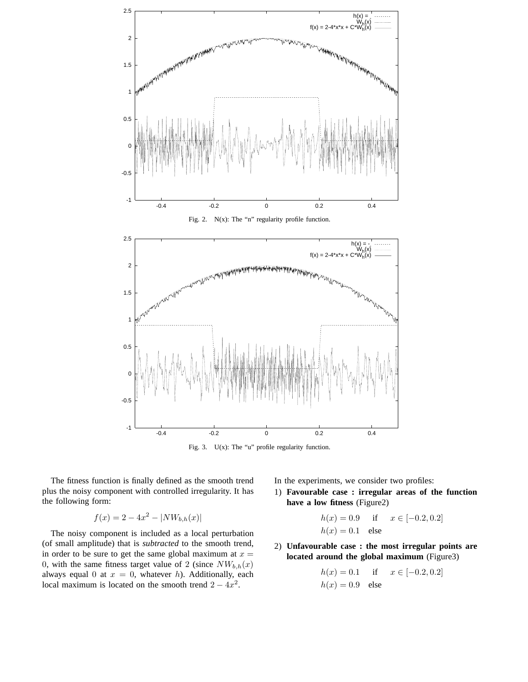



The fitness function is finally defined as the smooth trend plus the noisy component with controlled irregularity. It has the following form:

$$
f(x) = 2 - 4x^2 - |NW_{b,h}(x)|
$$

The noisy component is included as a local perturbation (of small amplitude) that is *subtracted* to the smooth trend, in order to be sure to get the same global maximum at  $x =$ 0, with the same fitness target value of 2 (since  $NW_{b,h}(x)$ ) always equal 0 at  $x = 0$ , whatever h). Additionally, each local maximum is located on the smooth trend  $2 - 4x^2$ .

In the experiments, we consider two profiles:

1) **Favourable case : irregular areas of the function have a low fitness** (Figure2)

$$
h(x) = 0.9
$$
 if  $x \in [-0.2, 0.2]$   
 $h(x) = 0.1$  else

2) **Unfavourable case : the most irregular points are located around the global maximum** (Figure3)

$$
h(x) = 0.1
$$
 if  $x \in [-0.2, 0.2]$   
 $h(x) = 0.9$  else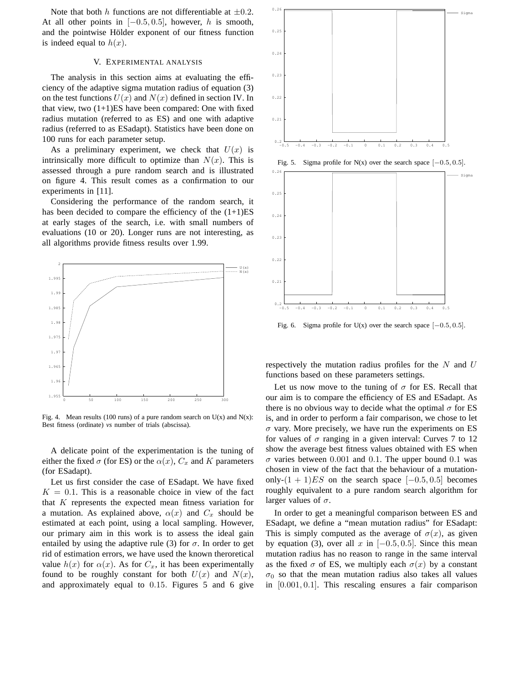Note that both h functions are not differentiable at  $\pm 0.2$ . At all other points in  $[-0.5, 0.5]$ , however, h is smooth, and the pointwise Hölder exponent of our fitness function is indeed equal to  $h(x)$ .

#### V. EXPERIMENTAL ANALYSIS

The analysis in this section aims at evaluating the efficiency of the adaptive sigma mutation radius of equation (3) on the test functions  $U(x)$  and  $N(x)$  defined in section IV. In that view, two  $(1+1)ES$  have been compared: One with fixed radius mutation (referred to as ES) and one with adaptive radius (referred to as ESadapt). Statistics have been done on 100 runs for each parameter setup.

As a preliminary experiment, we check that  $U(x)$  is intrinsically more difficult to optimize than  $N(x)$ . This is assessed through a pure random search and is illustrated on figure 4. This result comes as a confirmation to our experiments in [11].

Considering the performance of the random search, it has been decided to compare the efficiency of the  $(1+1)ES$ at early stages of the search, i.e. with small numbers of evaluations (10 or 20). Longer runs are not interesting, as all algorithms provide fitness results over 1.99.



Fig. 4. Mean results (100 runs) of a pure random search on  $U(x)$  and  $N(x)$ : Best fitness (ordinate) *vs* number of trials (abscissa).

A delicate point of the experimentation is the tuning of either the fixed  $\sigma$  (for ES) or the  $\alpha(x)$ ,  $C_x$  and K parameters (for ESadapt).

Let us first consider the case of ESadapt. We have fixed  $K = 0.1$ . This is a reasonable choice in view of the fact that K represents the expected mean fitness variation for a mutation. As explained above,  $\alpha(x)$  and  $C_x$  should be estimated at each point, using a local sampling. However, our primary aim in this work is to assess the ideal gain entailed by using the adaptive rule (3) for  $\sigma$ . In order to get rid of estimation errors, we have used the known theroretical value  $h(x)$  for  $\alpha(x)$ . As for  $C_x$ , it has been experimentally found to be roughly constant for both  $U(x)$  and  $N(x)$ , and approximately equal to 0.15. Figures 5 and 6 give



Fig. 5. Sigma profile for N(x) over the search space  $[-0.5, 0.5]$ .



Fig. 6. Sigma profile for U(x) over the search space  $[-0.5, 0.5]$ .

respectively the mutation radius profiles for the  $N$  and  $U$ functions based on these parameters settings.

Let us now move to the tuning of  $\sigma$  for ES. Recall that our aim is to compare the efficiency of ES and ESadapt. As there is no obvious way to decide what the optimal  $\sigma$  for ES is, and in order to perform a fair comparison, we chose to let  $\sigma$  vary. More precisely, we have run the experiments on ES for values of  $\sigma$  ranging in a given interval: Curves 7 to 12 show the average best fitness values obtained with ES when  $\sigma$  varies between 0.001 and 0.1. The upper bound 0.1 was chosen in view of the fact that the behaviour of a mutationonly- $(1 + 1)ES$  on the search space [-0.5, 0.5] becomes roughly equivalent to a pure random search algorithm for larger values of  $\sigma$ .

In order to get a meaningful comparison between ES and ESadapt, we define a "mean mutation radius" for ESadapt: This is simply computed as the average of  $\sigma(x)$ , as given by equation (3), over all x in  $[-0.5, 0.5]$ . Since this mean mutation radius has no reason to range in the same interval as the fixed  $\sigma$  of ES, we multiply each  $\sigma(x)$  by a constant  $\sigma_0$  so that the mean mutation radius also takes all values in [0.001, 0.1]. This rescaling ensures a fair comparison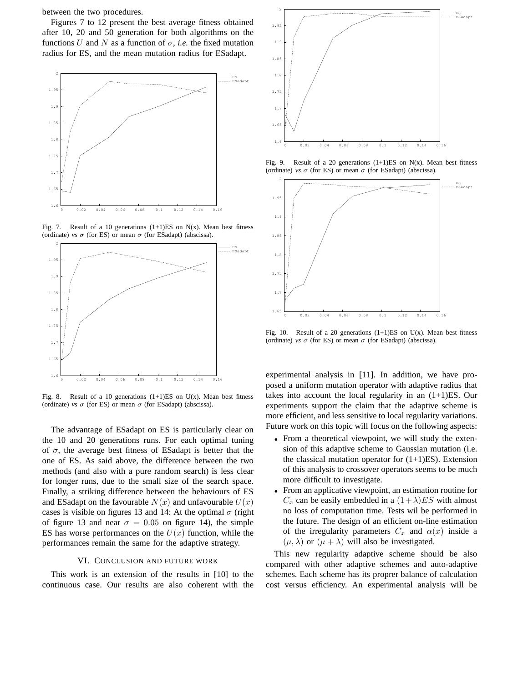between the two procedures.

Figures 7 to 12 present the best average fitness obtained after 10, 20 and 50 generation for both algorithms on the functions U and N as a function of  $\sigma$ , *i.e.* the fixed mutation radius for ES, and the mean mutation radius for ESadapt.



Fig. 7. Result of a 10 generations  $(1+1)ES$  on N(x). Mean best fitness (ordinate) *vs*  $\sigma$  (for ES) or mean  $\sigma$  (for ESadapt) (abscissa).



Fig. 8. Result of a 10 generations  $(1+1)ES$  on U(x). Mean best fitness (ordinate) *vs*  $\sigma$  (for ES) or mean  $\sigma$  (for ESadapt) (abscissa).

The advantage of ESadapt on ES is particularly clear on the 10 and 20 generations runs. For each optimal tuning of  $\sigma$ , the average best fitness of ESadapt is better that the one of ES. As said above, the difference between the two methods (and also with a pure random search) is less clear for longer runs, due to the small size of the search space. Finally, a striking difference between the behaviours of ES and ESadapt on the favourable  $N(x)$  and unfavourable  $U(x)$ cases is visible on figures 13 and 14: At the optimal  $\sigma$  (right of figure 13 and near  $\sigma = 0.05$  on figure 14), the simple ES has worse performances on the  $U(x)$  function, while the performances remain the same for the adaptive strategy.

#### VI. CONCLUSION AND FUTURE WORK

This work is an extension of the results in [10] to the continuous case. Our results are also coherent with the



Fig. 9. Result of a 20 generations  $(1+1)ES$  on N(x). Mean best fitness (ordinate) *vs*  $\sigma$  (for ES) or mean  $\sigma$  (for ESadapt) (abscissa).



Fig. 10. Result of a 20 generations  $(1+1)ES$  on U(x). Mean best fitness (ordinate) *vs*  $\sigma$  (for ES) or mean  $\sigma$  (for ESadapt) (abscissa).

experimental analysis in [11]. In addition, we have proposed a uniform mutation operator with adaptive radius that takes into account the local regularity in an (1+1)ES. Our experiments support the claim that the adaptive scheme is more efficient, and less sensitive to local regularity variations. Future work on this topic will focus on the following aspects:

- From a theoretical viewpoint, we will study the extension of this adaptive scheme to Gaussian mutation (i.e. the classical mutation operator for  $(1+1)ES$ ). Extension of this analysis to crossover operators seems to be much more difficult to investigate.
- From an applicative viewpoint, an estimation routine for  $C_x$  can be easily embedded in a  $(1+\lambda)ES$  with almost no loss of computation time. Tests wil be performed in the future. The design of an efficient on-line estimation of the irregularity parameters  $C_x$  and  $\alpha(x)$  inside a  $(\mu, \lambda)$  or  $(\mu + \lambda)$  will also be investigated.

This new regularity adaptive scheme should be also compared with other adaptive schemes and auto-adaptive schemes. Each scheme has its proprer balance of calculation cost versus efficiency. An experimental analysis will be